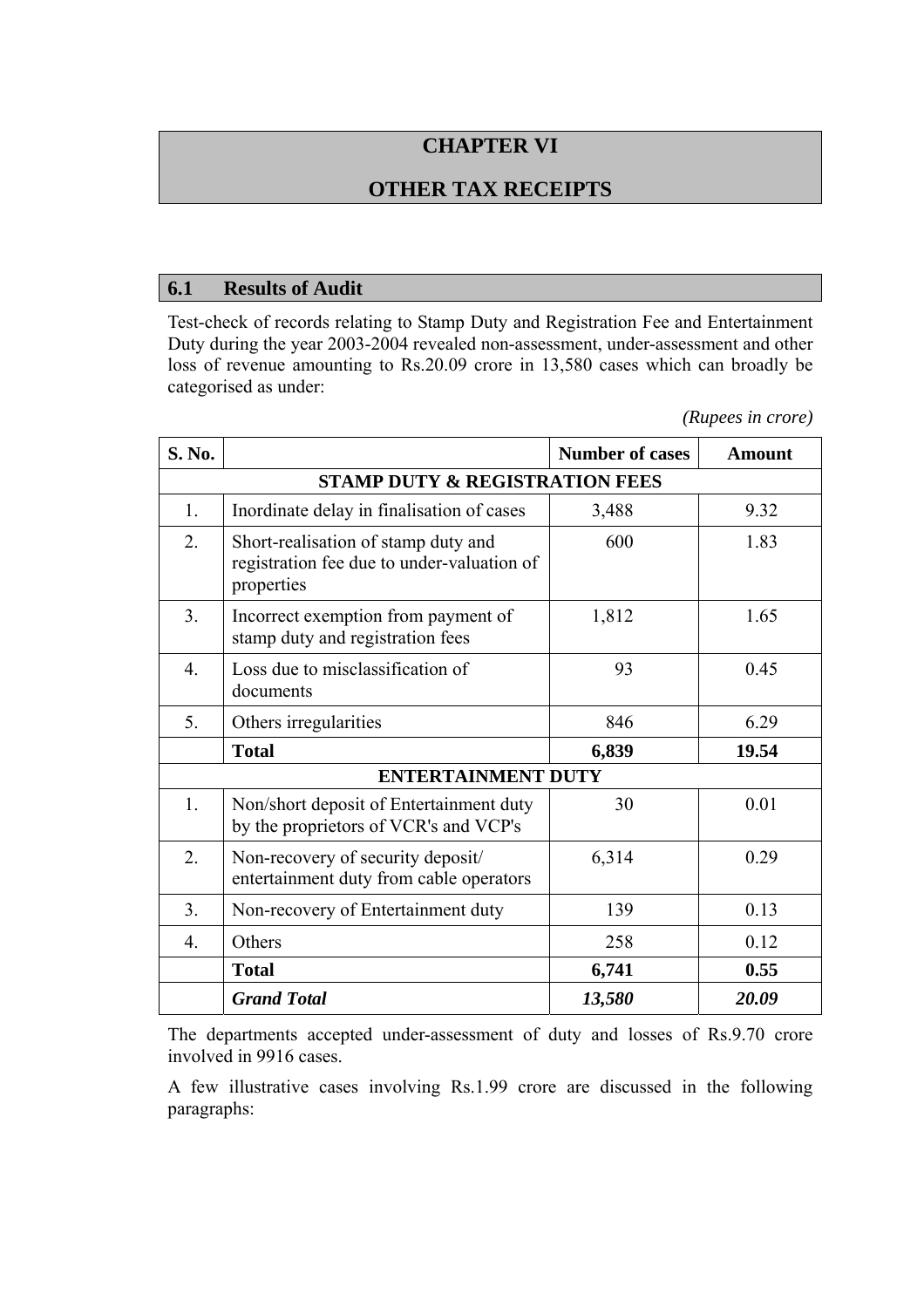# **CHAPTER VI**

## **OTHER TAX RECEIPTS**

#### **6.1 Results of Audit**

Test-check of records relating to Stamp Duty and Registration Fee and Entertainment Duty during the year 2003-2004 revealed non-assessment, under-assessment and other loss of revenue amounting to Rs.20.09 crore in 13,580 cases which can broadly be categorised as under:

*(Rupees in crore)* 

| S. No.                                    |                                                                                                 | <b>Number of cases</b> | <b>Amount</b> |
|-------------------------------------------|-------------------------------------------------------------------------------------------------|------------------------|---------------|
| <b>STAMP DUTY &amp; REGISTRATION FEES</b> |                                                                                                 |                        |               |
| 1.                                        | Inordinate delay in finalisation of cases                                                       | 3,488                  | 9.32          |
| 2.                                        | Short-realisation of stamp duty and<br>registration fee due to under-valuation of<br>properties | 600                    | 1.83          |
| 3 <sub>1</sub>                            | Incorrect exemption from payment of<br>stamp duty and registration fees                         | 1,812                  | 1.65          |
| $\overline{4}$ .                          | Loss due to misclassification of<br>documents                                                   | 93                     | 0.45          |
| 5.                                        | Others irregularities                                                                           | 846                    | 6.29          |
|                                           | <b>Total</b>                                                                                    | 6,839                  | 19.54         |
| <b>ENTERTAINMENT DUTY</b>                 |                                                                                                 |                        |               |
| 1.                                        | Non/short deposit of Entertainment duty<br>by the proprietors of VCR's and VCP's                | 30                     | 0.01          |
| 2.                                        | Non-recovery of security deposit/<br>entertainment duty from cable operators                    | 6,314                  | 0.29          |
| 3 <sub>1</sub>                            | Non-recovery of Entertainment duty                                                              | 139                    | 0.13          |
| $\overline{4}$ .                          | Others                                                                                          | 258                    | 0.12          |
|                                           | <b>Total</b>                                                                                    | 6,741                  | 0.55          |
|                                           | <b>Grand Total</b>                                                                              | 13,580                 | 20.09         |

The departments accepted under-assessment of duty and losses of Rs.9.70 crore involved in 9916 cases.

A few illustrative cases involving Rs.1.99 crore are discussed in the following paragraphs: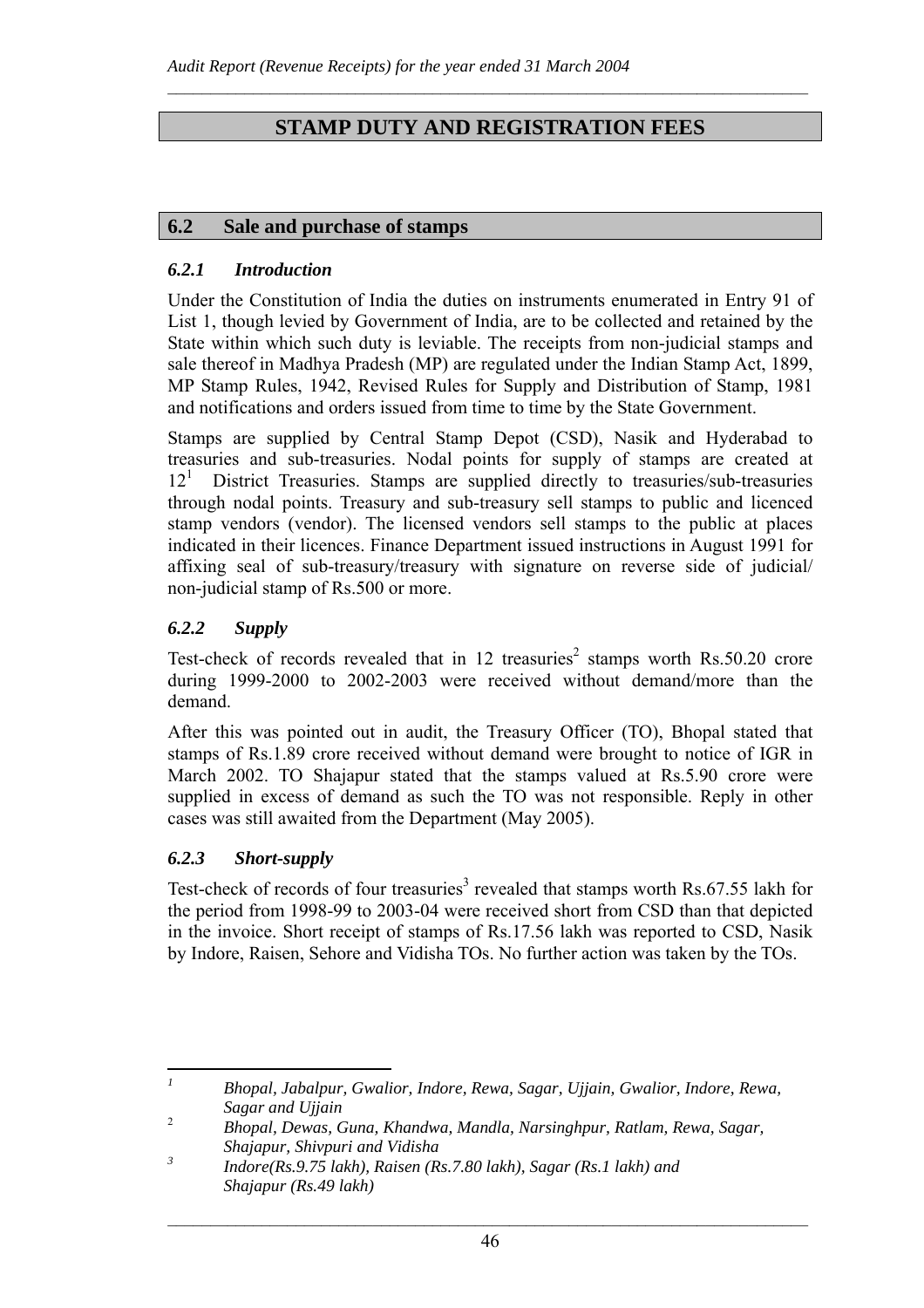# **STAMP DUTY AND REGISTRATION FEES**

 $\mathcal{L}_\text{max} = \frac{1}{2} \sum_{i=1}^n \mathcal{L}_\text{max} = \frac{1}{2} \sum_{i=1}^n \mathcal{L}_\text{max} = \frac{1}{2} \sum_{i=1}^n \mathcal{L}_\text{max} = \frac{1}{2} \sum_{i=1}^n \mathcal{L}_\text{max} = \frac{1}{2} \sum_{i=1}^n \mathcal{L}_\text{max} = \frac{1}{2} \sum_{i=1}^n \mathcal{L}_\text{max} = \frac{1}{2} \sum_{i=1}^n \mathcal{L}_\text{max} = \frac{1}{2} \sum_{i=$ 

## **6.2 Sale and purchase of stamps**

#### *6.2.1 Introduction*

Under the Constitution of India the duties on instruments enumerated in Entry 91 of List 1, though levied by Government of India, are to be collected and retained by the State within which such duty is leviable. The receipts from non-judicial stamps and sale thereof in Madhya Pradesh (MP) are regulated under the Indian Stamp Act, 1899, MP Stamp Rules, 1942, Revised Rules for Supply and Distribution of Stamp, 1981 and notifications and orders issued from time to time by the State Government.

Stamps are supplied by Central Stamp Depot (CSD), Nasik and Hyderabad to treasuries and sub-treasuries. Nodal points for supply of stamps are created at  $12<sup>1</sup>$  District Treasuries. Stamps are supplied directly to treasuries/sub-treasuries through nodal points. Treasury and sub-treasury sell stamps to public and licenced stamp vendors (vendor). The licensed vendors sell stamps to the public at places indicated in their licences. Finance Department issued instructions in August 1991 for affixing seal of sub-treasury/treasury with signature on reverse side of judicial/ non-judicial stamp of Rs.500 or more.

## *6.2.2 Supply*

Test-check of records revealed that in 12 treasuries<sup>2</sup> stamps worth Rs.50.20 crore during 1999-2000 to 2002-2003 were received without demand/more than the demand.

After this was pointed out in audit, the Treasury Officer (TO), Bhopal stated that stamps of Rs.1.89 crore received without demand were brought to notice of IGR in March 2002. TO Shajapur stated that the stamps valued at Rs.5.90 crore were supplied in excess of demand as such the TO was not responsible. Reply in other cases was still awaited from the Department (May 2005).

## *6.2.3 Short-supply*

Test-check of records of four treasuries<sup>3</sup> revealed that stamps worth Rs.67.55 lakh for the period from 1998-99 to 2003-04 were received short from CSD than that depicted in the invoice. Short receipt of stamps of Rs.17.56 lakh was reported to CSD, Nasik by Indore, Raisen, Sehore and Vidisha TOs. No further action was taken by the TOs.

 *1 Bhopal, Jabalpur, Gwalior, Indore, Rewa, Sagar, Ujjain, Gwalior, Indore, Rewa, Sagar and Ujjain* 

<sup>2</sup> *Bhopal, Dewas, Guna, Khandwa, Mandla, Narsinghpur, Ratlam, Rewa, Sagar, Shajapur, Shivpuri and Vidisha* 

*<sup>3</sup> Indore(Rs.9.75 lakh), Raisen (Rs.7.80 lakh), Sagar (Rs.1 lakh) and Shajapur (Rs.49 lakh)*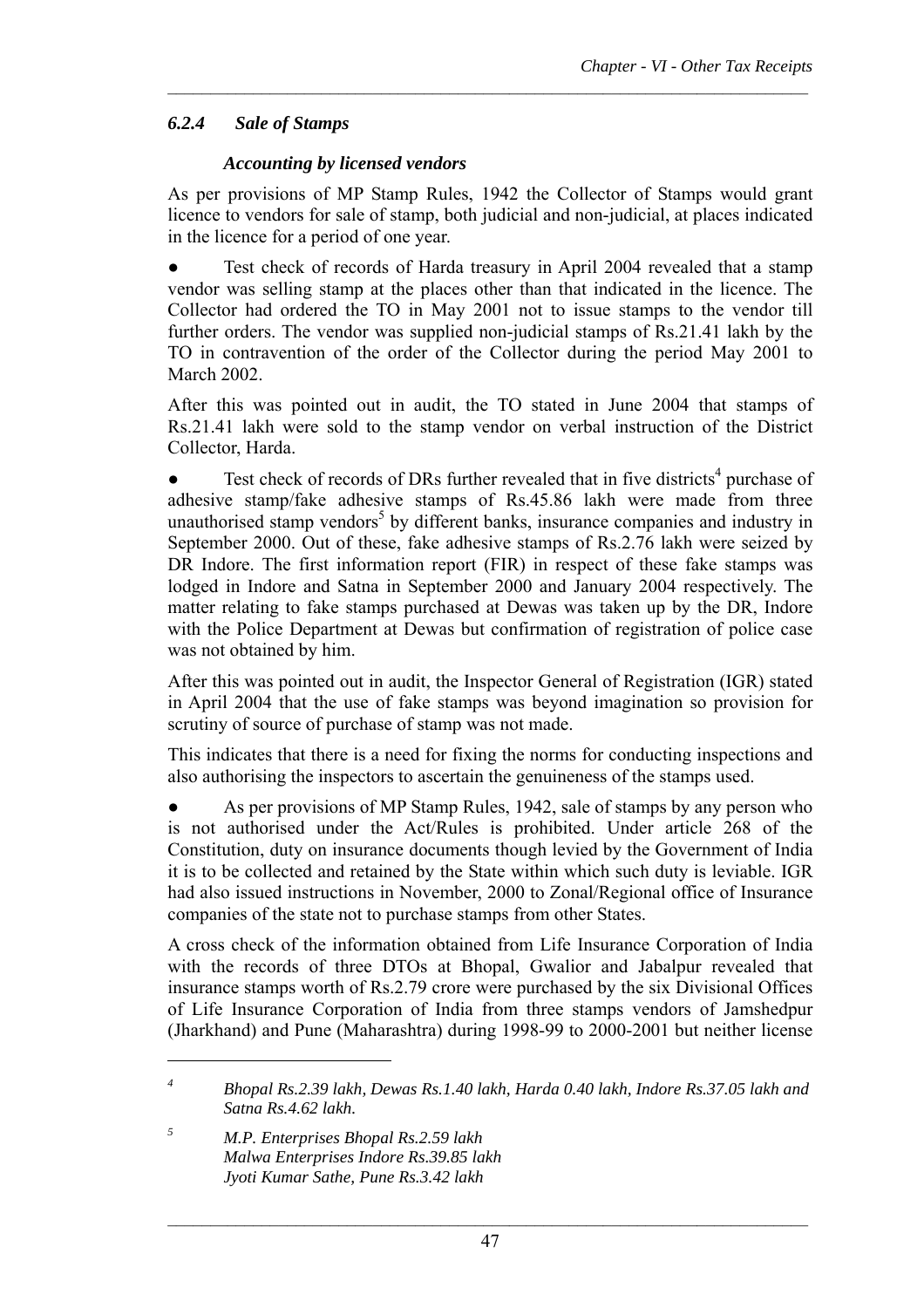## *6.2.4 Sale of Stamps*

#### *Accounting by licensed vendors*

As per provisions of MP Stamp Rules, 1942 the Collector of Stamps would grant licence to vendors for sale of stamp, both judicial and non-judicial, at places indicated in the licence for a period of one year.

 $\mathcal{L}_\text{max} = \frac{1}{2} \sum_{i=1}^n \mathcal{L}_\text{max} = \frac{1}{2} \sum_{i=1}^n \mathcal{L}_\text{max} = \frac{1}{2} \sum_{i=1}^n \mathcal{L}_\text{max} = \frac{1}{2} \sum_{i=1}^n \mathcal{L}_\text{max} = \frac{1}{2} \sum_{i=1}^n \mathcal{L}_\text{max} = \frac{1}{2} \sum_{i=1}^n \mathcal{L}_\text{max} = \frac{1}{2} \sum_{i=1}^n \mathcal{L}_\text{max} = \frac{1}{2} \sum_{i=$ 

Test check of records of Harda treasury in April 2004 revealed that a stamp vendor was selling stamp at the places other than that indicated in the licence. The Collector had ordered the TO in May 2001 not to issue stamps to the vendor till further orders. The vendor was supplied non-judicial stamps of Rs.21.41 lakh by the TO in contravention of the order of the Collector during the period May 2001 to March 2002.

After this was pointed out in audit, the TO stated in June 2004 that stamps of Rs.21.41 lakh were sold to the stamp vendor on verbal instruction of the District Collector, Harda.

 $\bullet$  Test check of records of DRs further revealed that in five districts<sup>4</sup> purchase of adhesive stamp/fake adhesive stamps of Rs.45.86 lakh were made from three unauthorised stamp vendors<sup>5</sup> by different banks, insurance companies and industry in September 2000. Out of these, fake adhesive stamps of Rs.2.76 lakh were seized by DR Indore. The first information report (FIR) in respect of these fake stamps was lodged in Indore and Satna in September 2000 and January 2004 respectively. The matter relating to fake stamps purchased at Dewas was taken up by the DR, Indore with the Police Department at Dewas but confirmation of registration of police case was not obtained by him.

After this was pointed out in audit, the Inspector General of Registration (IGR) stated in April 2004 that the use of fake stamps was beyond imagination so provision for scrutiny of source of purchase of stamp was not made.

This indicates that there is a need for fixing the norms for conducting inspections and also authorising the inspectors to ascertain the genuineness of the stamps used.

As per provisions of MP Stamp Rules, 1942, sale of stamps by any person who is not authorised under the Act/Rules is prohibited. Under article 268 of the Constitution, duty on insurance documents though levied by the Government of India it is to be collected and retained by the State within which such duty is leviable. IGR had also issued instructions in November, 2000 to Zonal/Regional office of Insurance companies of the state not to purchase stamps from other States.

A cross check of the information obtained from Life Insurance Corporation of India with the records of three DTOs at Bhopal, Gwalior and Jabalpur revealed that insurance stamps worth of Rs.2.79 crore were purchased by the six Divisional Offices of Life Insurance Corporation of India from three stamps vendors of Jamshedpur (Jharkhand) and Pune (Maharashtra) during 1998-99 to 2000-2001 but neither license

*5 M.P. Enterprises Bhopal Rs.2.59 lakh Malwa Enterprises Indore Rs.39.85 lakh Jyoti Kumar Sathe, Pune Rs.3.42 lakh* 

 $\overline{a}$ 

*<sup>4</sup> Bhopal Rs.2.39 lakh, Dewas Rs.1.40 lakh, Harda 0.40 lakh, Indore Rs.37.05 lakh and Satna Rs.4.62 lakh.*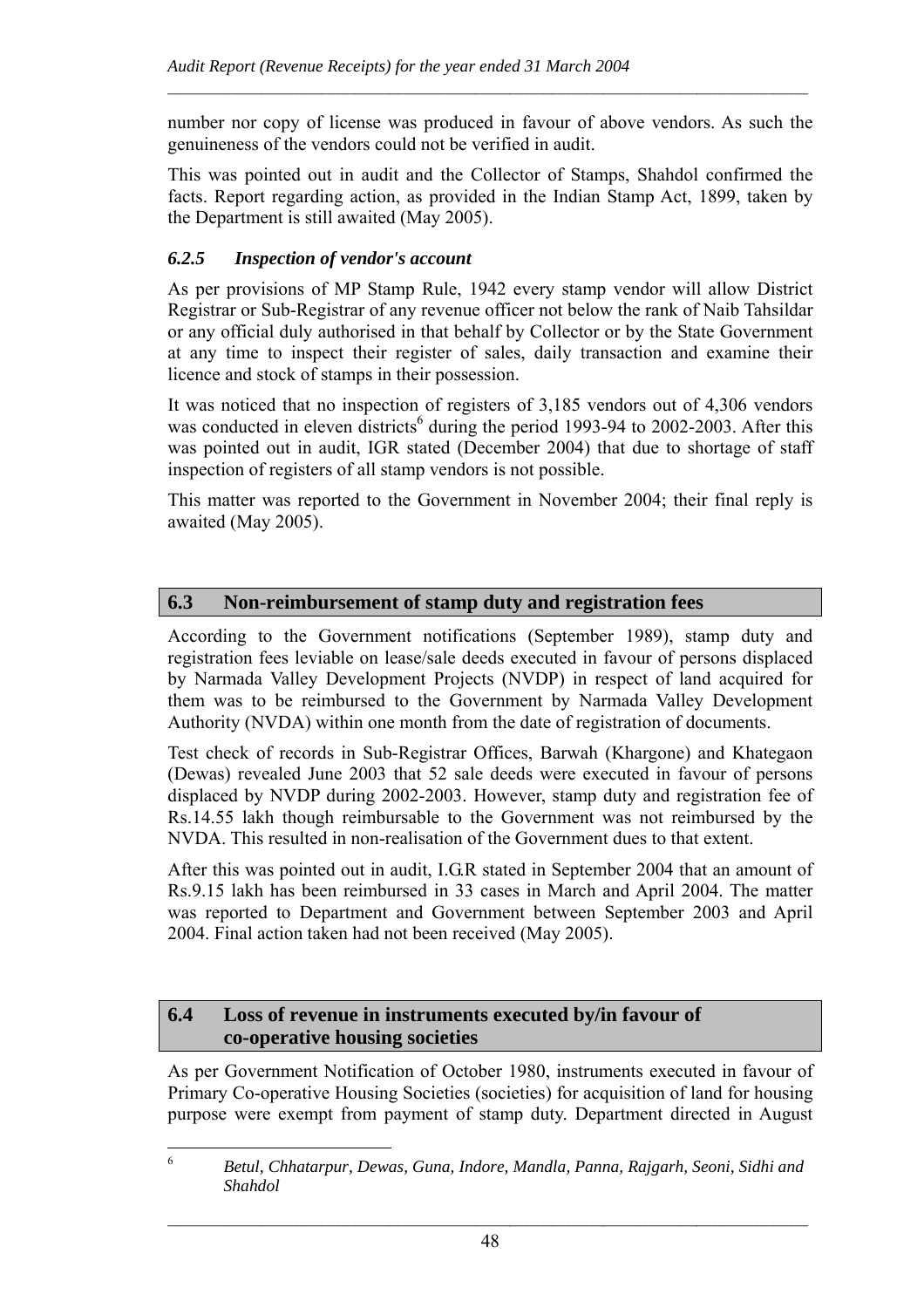number nor copy of license was produced in favour of above vendors. As such the genuineness of the vendors could not be verified in audit.

 $\mathcal{L}_\text{max} = \frac{1}{2} \sum_{i=1}^n \mathcal{L}_\text{max} = \frac{1}{2} \sum_{i=1}^n \mathcal{L}_\text{max} = \frac{1}{2} \sum_{i=1}^n \mathcal{L}_\text{max} = \frac{1}{2} \sum_{i=1}^n \mathcal{L}_\text{max} = \frac{1}{2} \sum_{i=1}^n \mathcal{L}_\text{max} = \frac{1}{2} \sum_{i=1}^n \mathcal{L}_\text{max} = \frac{1}{2} \sum_{i=1}^n \mathcal{L}_\text{max} = \frac{1}{2} \sum_{i=$ 

This was pointed out in audit and the Collector of Stamps, Shahdol confirmed the facts. Report regarding action, as provided in the Indian Stamp Act, 1899, taken by the Department is still awaited (May 2005).

## *6.2.5 Inspection of vendor's account*

As per provisions of MP Stamp Rule, 1942 every stamp vendor will allow District Registrar or Sub-Registrar of any revenue officer not below the rank of Naib Tahsildar or any official duly authorised in that behalf by Collector or by the State Government at any time to inspect their register of sales, daily transaction and examine their licence and stock of stamps in their possession.

It was noticed that no inspection of registers of 3,185 vendors out of 4,306 vendors was conducted in eleven districts<sup>6</sup> during the period 1993-94 to 2002-2003. After this was pointed out in audit, IGR stated (December 2004) that due to shortage of staff inspection of registers of all stamp vendors is not possible.

This matter was reported to the Government in November 2004; their final reply is awaited (May 2005).

## **6.3 Non-reimbursement of stamp duty and registration fees**

According to the Government notifications (September 1989), stamp duty and registration fees leviable on lease/sale deeds executed in favour of persons displaced by Narmada Valley Development Projects (NVDP) in respect of land acquired for them was to be reimbursed to the Government by Narmada Valley Development Authority (NVDA) within one month from the date of registration of documents.

Test check of records in Sub-Registrar Offices, Barwah (Khargone) and Khategaon (Dewas) revealed June 2003 that 52 sale deeds were executed in favour of persons displaced by NVDP during 2002-2003. However, stamp duty and registration fee of Rs.14.55 lakh though reimbursable to the Government was not reimbursed by the NVDA. This resulted in non-realisation of the Government dues to that extent.

After this was pointed out in audit, I.G.R stated in September 2004 that an amount of Rs.9.15 lakh has been reimbursed in 33 cases in March and April 2004. The matter was reported to Department and Government between September 2003 and April 2004. Final action taken had not been received (May 2005).

### **6.4 Loss of revenue in instruments executed by/in favour of co-operative housing societies**

As per Government Notification of October 1980, instruments executed in favour of Primary Co-operative Housing Societies (societies) for acquisition of land for housing purpose were exempt from payment of stamp duty. Department directed in August

<sup>6</sup> <sup>6</sup> *Betul, Chhatarpur, Dewas, Guna, Indore, Mandla, Panna, Rajgarh, Seoni, Sidhi and Shahdol*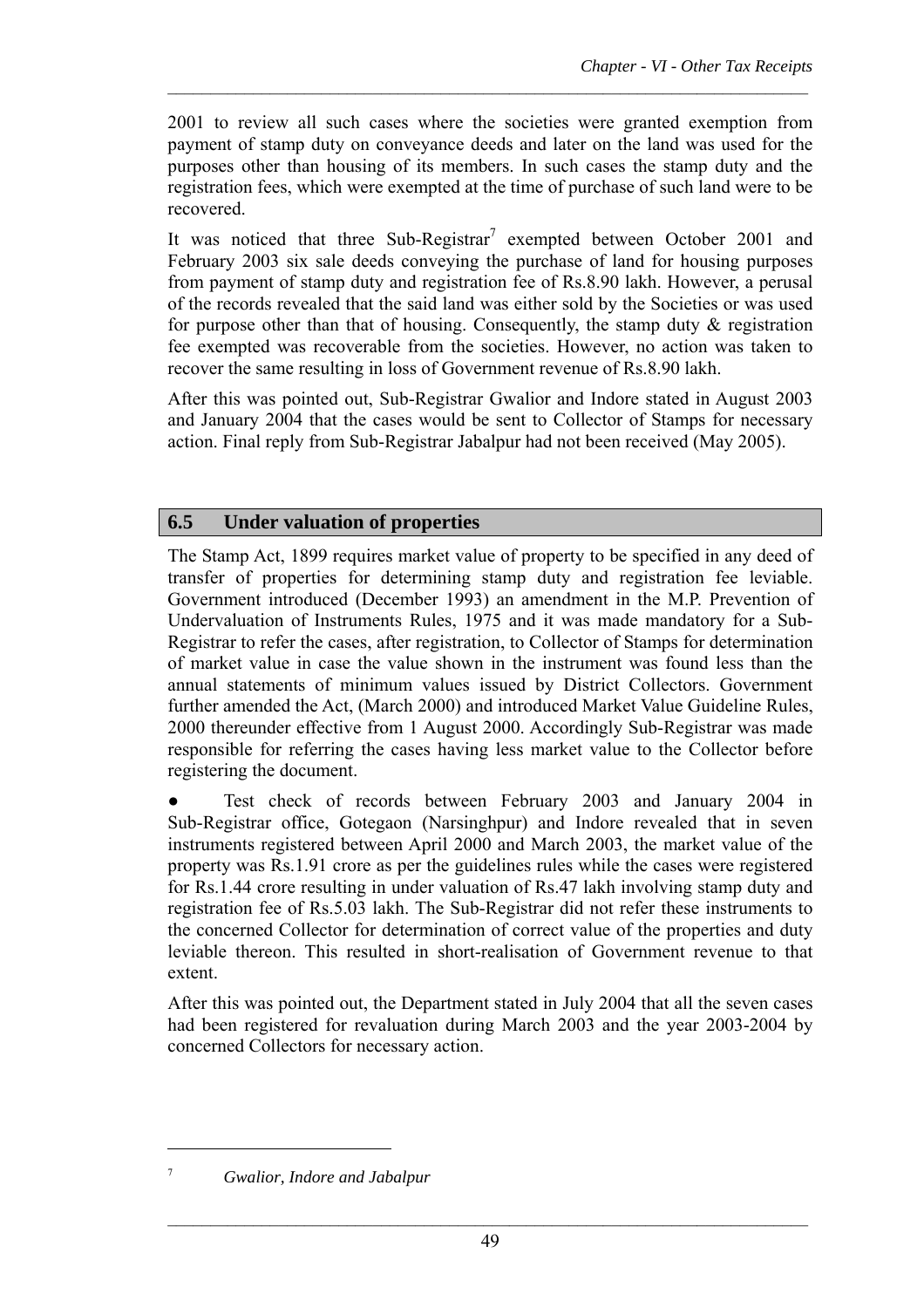2001 to review all such cases where the societies were granted exemption from payment of stamp duty on conveyance deeds and later on the land was used for the purposes other than housing of its members. In such cases the stamp duty and the registration fees, which were exempted at the time of purchase of such land were to be recovered.

 $\mathcal{L}_\text{max} = \frac{1}{2} \sum_{i=1}^n \mathcal{L}_\text{max} = \frac{1}{2} \sum_{i=1}^n \mathcal{L}_\text{max} = \frac{1}{2} \sum_{i=1}^n \mathcal{L}_\text{max} = \frac{1}{2} \sum_{i=1}^n \mathcal{L}_\text{max} = \frac{1}{2} \sum_{i=1}^n \mathcal{L}_\text{max} = \frac{1}{2} \sum_{i=1}^n \mathcal{L}_\text{max} = \frac{1}{2} \sum_{i=1}^n \mathcal{L}_\text{max} = \frac{1}{2} \sum_{i=$ 

It was noticed that three Sub-Registrar<sup>7</sup> exempted between October 2001 and February 2003 six sale deeds conveying the purchase of land for housing purposes from payment of stamp duty and registration fee of Rs.8.90 lakh. However, a perusal of the records revealed that the said land was either sold by the Societies or was used for purpose other than that of housing. Consequently, the stamp duty  $\&$  registration fee exempted was recoverable from the societies. However, no action was taken to recover the same resulting in loss of Government revenue of Rs.8.90 lakh.

After this was pointed out, Sub-Registrar Gwalior and Indore stated in August 2003 and January 2004 that the cases would be sent to Collector of Stamps for necessary action. Final reply from Sub-Registrar Jabalpur had not been received (May 2005).

## **6.5 Under valuation of properties**

The Stamp Act, 1899 requires market value of property to be specified in any deed of transfer of properties for determining stamp duty and registration fee leviable. Government introduced (December 1993) an amendment in the M.P. Prevention of Undervaluation of Instruments Rules, 1975 and it was made mandatory for a Sub-Registrar to refer the cases, after registration, to Collector of Stamps for determination of market value in case the value shown in the instrument was found less than the annual statements of minimum values issued by District Collectors. Government further amended the Act, (March 2000) and introduced Market Value Guideline Rules, 2000 thereunder effective from 1 August 2000. Accordingly Sub-Registrar was made responsible for referring the cases having less market value to the Collector before registering the document.

Test check of records between February 2003 and January 2004 in Sub-Registrar office, Gotegaon (Narsinghpur) and Indore revealed that in seven instruments registered between April 2000 and March 2003, the market value of the property was Rs.1.91 crore as per the guidelines rules while the cases were registered for Rs.1.44 crore resulting in under valuation of Rs.47 lakh involving stamp duty and registration fee of Rs.5.03 lakh. The Sub-Registrar did not refer these instruments to the concerned Collector for determination of correct value of the properties and duty leviable thereon. This resulted in short-realisation of Government revenue to that extent.

After this was pointed out, the Department stated in July 2004 that all the seven cases had been registered for revaluation during March 2003 and the year 2003-2004 by concerned Collectors for necessary action.

 $\overline{a}$ 7

*Gwalior, Indore and Jabalpur*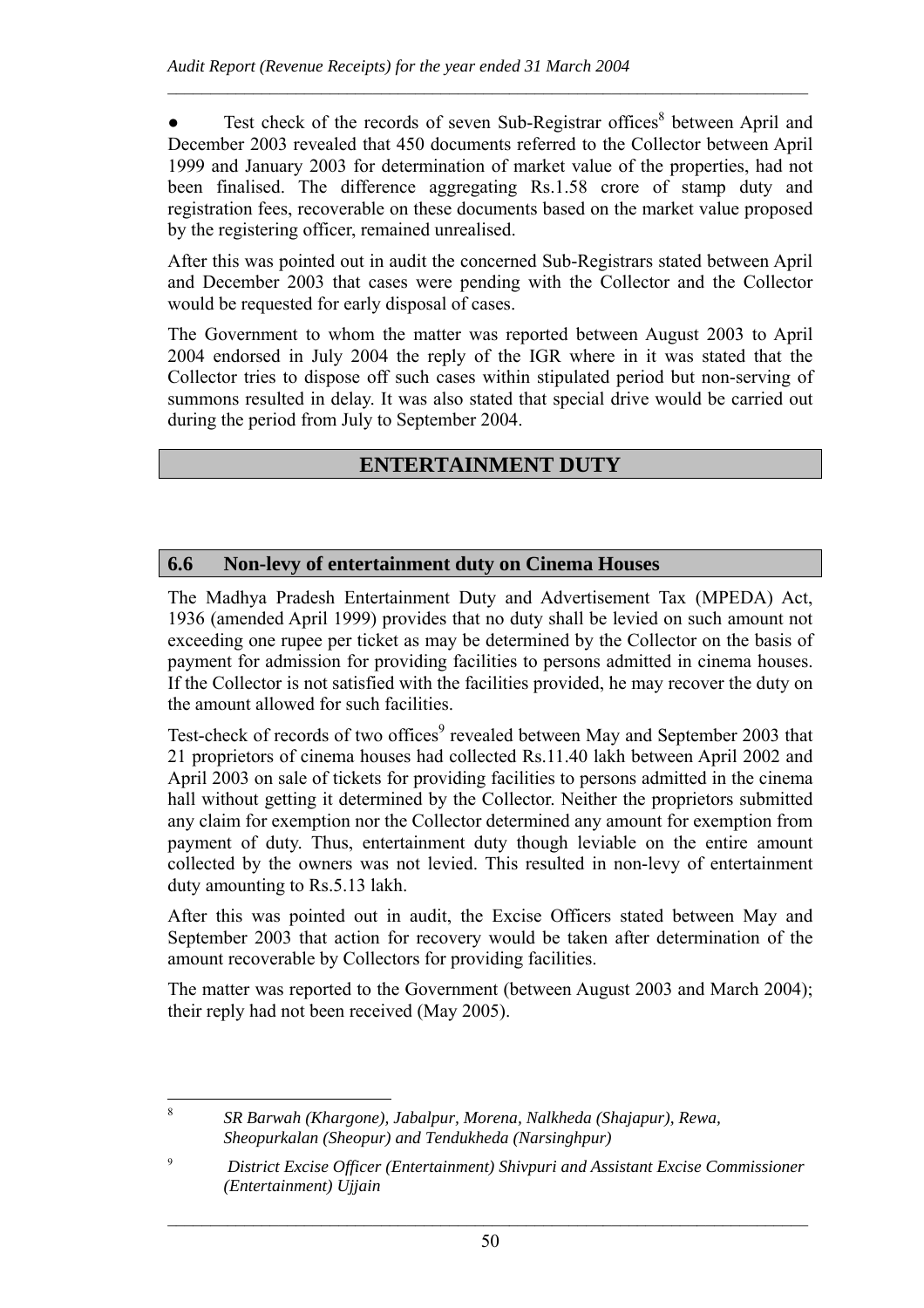• Test check of the records of seven Sub-Registrar offices $8$  between April and December 2003 revealed that 450 documents referred to the Collector between April 1999 and January 2003 for determination of market value of the properties, had not been finalised. The difference aggregating Rs.1.58 crore of stamp duty and registration fees, recoverable on these documents based on the market value proposed by the registering officer, remained unrealised.

 $\mathcal{L}_\text{max} = \frac{1}{2} \sum_{i=1}^n \mathcal{L}_\text{max} = \frac{1}{2} \sum_{i=1}^n \mathcal{L}_\text{max} = \frac{1}{2} \sum_{i=1}^n \mathcal{L}_\text{max} = \frac{1}{2} \sum_{i=1}^n \mathcal{L}_\text{max} = \frac{1}{2} \sum_{i=1}^n \mathcal{L}_\text{max} = \frac{1}{2} \sum_{i=1}^n \mathcal{L}_\text{max} = \frac{1}{2} \sum_{i=1}^n \mathcal{L}_\text{max} = \frac{1}{2} \sum_{i=$ 

After this was pointed out in audit the concerned Sub-Registrars stated between April and December 2003 that cases were pending with the Collector and the Collector would be requested for early disposal of cases.

The Government to whom the matter was reported between August 2003 to April 2004 endorsed in July 2004 the reply of the IGR where in it was stated that the Collector tries to dispose off such cases within stipulated period but non-serving of summons resulted in delay. It was also stated that special drive would be carried out during the period from July to September 2004.

# **ENTERTAINMENT DUTY**

## **6.6 Non-levy of entertainment duty on Cinema Houses**

The Madhya Pradesh Entertainment Duty and Advertisement Tax (MPEDA) Act, 1936 (amended April 1999) provides that no duty shall be levied on such amount not exceeding one rupee per ticket as may be determined by the Collector on the basis of payment for admission for providing facilities to persons admitted in cinema houses. If the Collector is not satisfied with the facilities provided, he may recover the duty on the amount allowed for such facilities.

Test-check of records of two offices<sup>9</sup> revealed between May and September 2003 that 21 proprietors of cinema houses had collected Rs.11.40 lakh between April 2002 and April 2003 on sale of tickets for providing facilities to persons admitted in the cinema hall without getting it determined by the Collector. Neither the proprietors submitted any claim for exemption nor the Collector determined any amount for exemption from payment of duty. Thus, entertainment duty though leviable on the entire amount collected by the owners was not levied. This resulted in non-levy of entertainment duty amounting to Rs.5.13 lakh.

After this was pointed out in audit, the Excise Officers stated between May and September 2003 that action for recovery would be taken after determination of the amount recoverable by Collectors for providing facilities.

The matter was reported to the Government (between August 2003 and March 2004); their reply had not been received (May 2005).

 *SR Barwah (Khargone), Jabalpur, Morena, Nalkheda (Shajapur), Rewa, Sheopurkalan (Sheopur) and Tendukheda (Narsinghpur)* 

8

<sup>9</sup> *District Excise Officer (Entertainment) Shivpuri and Assistant Excise Commissioner (Entertainment) Ujjain*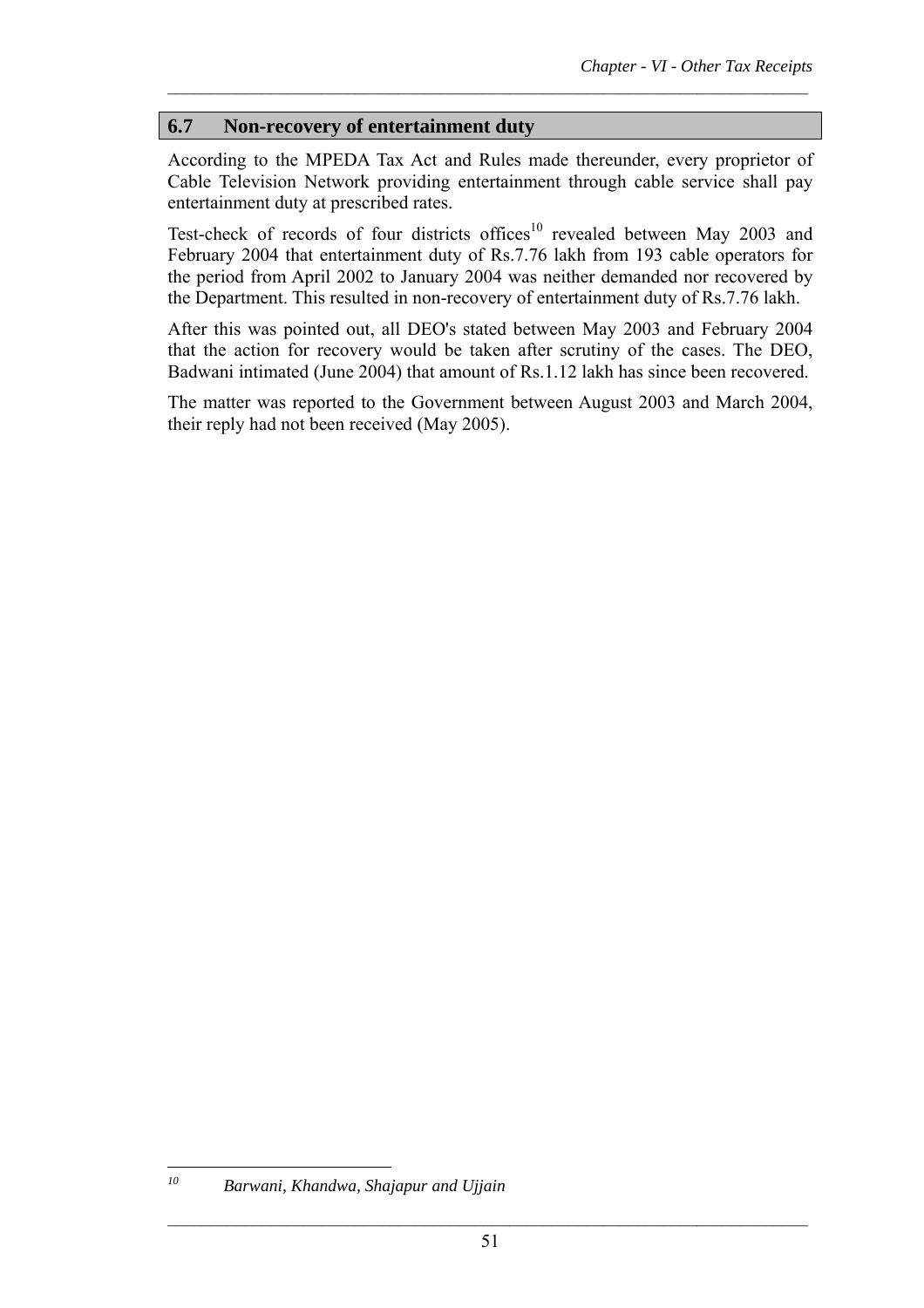## **6.7 Non-recovery of entertainment duty**

According to the MPEDA Tax Act and Rules made thereunder, every proprietor of Cable Television Network providing entertainment through cable service shall pay entertainment duty at prescribed rates.

 $\mathcal{L}_\text{max} = \frac{1}{2} \sum_{i=1}^n \mathcal{L}_\text{max} = \frac{1}{2} \sum_{i=1}^n \mathcal{L}_\text{max} = \frac{1}{2} \sum_{i=1}^n \mathcal{L}_\text{max} = \frac{1}{2} \sum_{i=1}^n \mathcal{L}_\text{max} = \frac{1}{2} \sum_{i=1}^n \mathcal{L}_\text{max} = \frac{1}{2} \sum_{i=1}^n \mathcal{L}_\text{max} = \frac{1}{2} \sum_{i=1}^n \mathcal{L}_\text{max} = \frac{1}{2} \sum_{i=$ 

Test-check of records of four districts offices<sup>10</sup> revealed between May 2003 and February 2004 that entertainment duty of Rs.7.76 lakh from 193 cable operators for the period from April 2002 to January 2004 was neither demanded nor recovered by the Department. This resulted in non-recovery of entertainment duty of Rs.7.76 lakh.

After this was pointed out, all DEO's stated between May 2003 and February 2004 that the action for recovery would be taken after scrutiny of the cases. The DEO, Badwani intimated (June 2004) that amount of Rs.1.12 lakh has since been recovered.

The matter was reported to the Government between August 2003 and March 2004, their reply had not been received (May 2005).

 ${\it 10}$ 

*<sup>10</sup> Barwani, Khandwa, Shajapur and Ujjain*